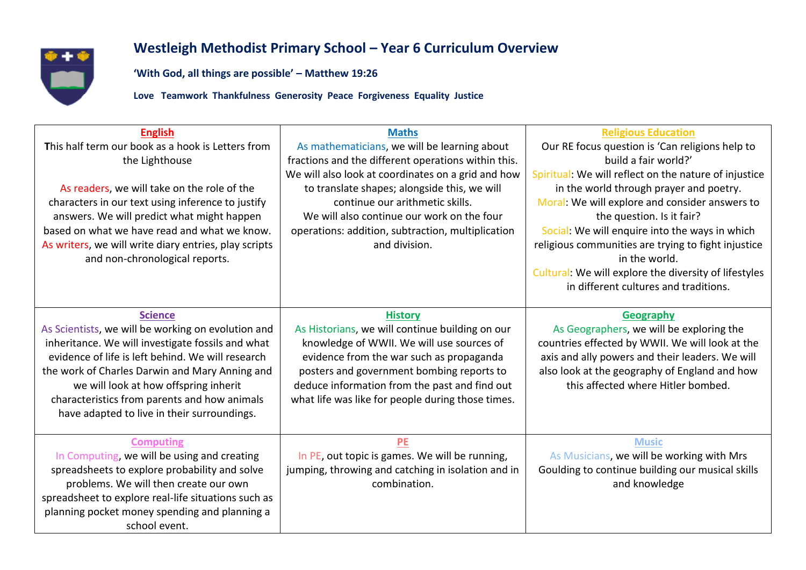

## **Westleigh Methodist Primary School – Year 6 Curriculum Overview**

**'With God, all things are possible' – Matthew 19:26**

**Love Teamwork Thankfulness Generosity Peace Forgiveness Equality Justice**

| <b>English</b><br>This half term our book as a hook is Letters from<br>the Lighthouse<br>As readers, we will take on the role of the<br>characters in our text using inference to justify<br>answers. We will predict what might happen<br>based on what we have read and what we know.<br>As writers, we will write diary entries, play scripts<br>and non-chronological reports. | <b>Maths</b><br>As mathematicians, we will be learning about<br>fractions and the different operations within this.<br>We will also look at coordinates on a grid and how<br>to translate shapes; alongside this, we will<br>continue our arithmetic skills.<br>We will also continue our work on the four<br>operations: addition, subtraction, multiplication<br>and division. | <b>Religious Education</b><br>Our RE focus question is 'Can religions help to<br>build a fair world?'<br>Spiritual: We will reflect on the nature of injustice<br>in the world through prayer and poetry.<br>Moral: We will explore and consider answers to<br>the question. Is it fair?<br>Social: We will enquire into the ways in which<br>religious communities are trying to fight injustice<br>in the world.<br>Cultural: We will explore the diversity of lifestyles<br>in different cultures and traditions. |
|------------------------------------------------------------------------------------------------------------------------------------------------------------------------------------------------------------------------------------------------------------------------------------------------------------------------------------------------------------------------------------|----------------------------------------------------------------------------------------------------------------------------------------------------------------------------------------------------------------------------------------------------------------------------------------------------------------------------------------------------------------------------------|----------------------------------------------------------------------------------------------------------------------------------------------------------------------------------------------------------------------------------------------------------------------------------------------------------------------------------------------------------------------------------------------------------------------------------------------------------------------------------------------------------------------|
| <b>Science</b><br>As Scientists, we will be working on evolution and<br>inheritance. We will investigate fossils and what<br>evidence of life is left behind. We will research<br>the work of Charles Darwin and Mary Anning and<br>we will look at how offspring inherit<br>characteristics from parents and how animals<br>have adapted to live in their surroundings.           | <b>History</b><br>As Historians, we will continue building on our<br>knowledge of WWII. We will use sources of<br>evidence from the war such as propaganda<br>posters and government bombing reports to<br>deduce information from the past and find out<br>what life was like for people during those times.                                                                    | Geography<br>As Geographers, we will be exploring the<br>countries effected by WWII. We will look at the<br>axis and ally powers and their leaders. We will<br>also look at the geography of England and how<br>this affected where Hitler bombed.                                                                                                                                                                                                                                                                   |
| <b>Computing</b><br>In Computing, we will be using and creating<br>spreadsheets to explore probability and solve<br>problems. We will then create our own<br>spreadsheet to explore real-life situations such as<br>planning pocket money spending and planning a<br>school event.                                                                                                 | PE<br>In PE, out topic is games. We will be running,<br>jumping, throwing and catching in isolation and in<br>combination.                                                                                                                                                                                                                                                       | <b>Music</b><br>As Musicians, we will be working with Mrs<br>Goulding to continue building our musical skills<br>and knowledge                                                                                                                                                                                                                                                                                                                                                                                       |